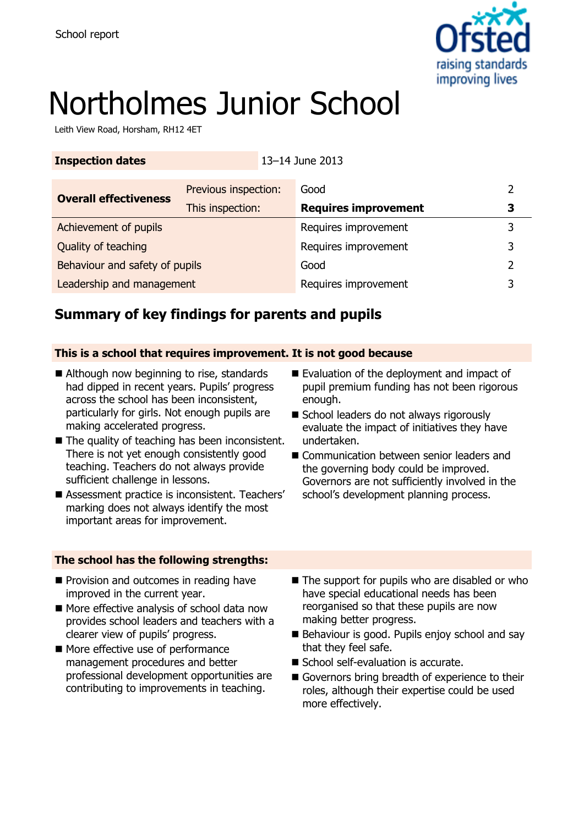

# Northolmes Junior School

Leith View Road, Horsham, RH12 4ET

|                                |  | Good                        |                                                                                         |               |
|--------------------------------|--|-----------------------------|-----------------------------------------------------------------------------------------|---------------|
| This inspection:               |  | <b>Requires improvement</b> |                                                                                         | З             |
|                                |  |                             |                                                                                         | 3             |
|                                |  |                             |                                                                                         | 3             |
| Behaviour and safety of pupils |  | Good                        |                                                                                         | $\mathcal{P}$ |
| Leadership and management      |  |                             |                                                                                         | 3             |
|                                |  | Previous inspection:        | 13-14 June 2013<br>Requires improvement<br>Requires improvement<br>Requires improvement |               |

# **Summary of key findings for parents and pupils**

### **This is a school that requires improvement. It is not good because**

- Although now beginning to rise, standards had dipped in recent years. Pupils' progress across the school has been inconsistent, particularly for girls. Not enough pupils are making accelerated progress.
- $\blacksquare$  The quality of teaching has been inconsistent. There is not yet enough consistently good teaching. Teachers do not always provide sufficient challenge in lessons.
- Assessment practice is inconsistent. Teachers' marking does not always identify the most important areas for improvement.

### **The school has the following strengths:**

- **Provision and outcomes in reading have** improved in the current year.
- More effective analysis of school data now provides school leaders and teachers with a clearer view of pupils' progress.
- More effective use of performance management procedures and better professional development opportunities are contributing to improvements in teaching.
- Evaluation of the deployment and impact of pupil premium funding has not been rigorous enough.
- School leaders do not always rigorously evaluate the impact of initiatives they have undertaken.
- Communication between senior leaders and the governing body could be improved. Governors are not sufficiently involved in the school's development planning process.
- $\blacksquare$  The support for pupils who are disabled or who have special educational needs has been reorganised so that these pupils are now making better progress.
- Behaviour is good. Pupils enjoy school and say that they feel safe.
- School self-evaluation is accurate.
- Governors bring breadth of experience to their roles, although their expertise could be used more effectively.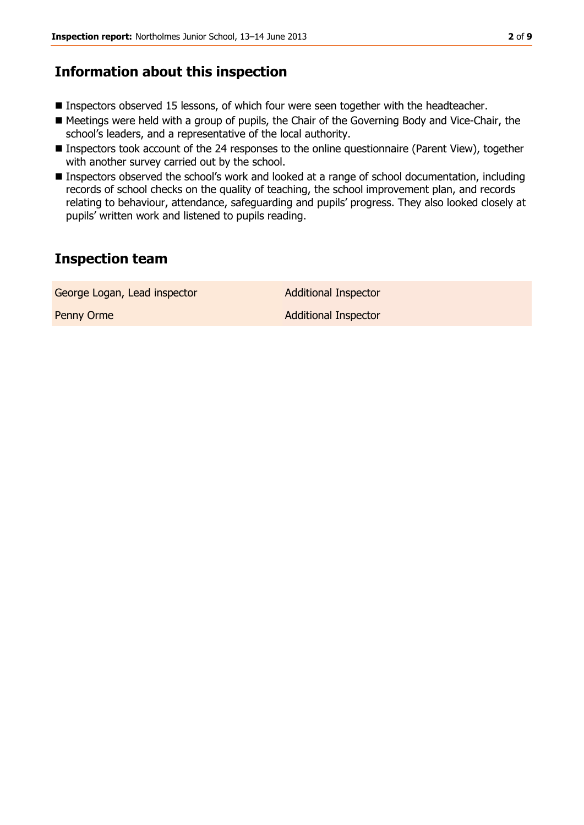### **Information about this inspection**

- Inspectors observed 15 lessons, of which four were seen together with the headteacher.
- Meetings were held with a group of pupils, the Chair of the Governing Body and Vice-Chair, the school's leaders, and a representative of the local authority.
- Inspectors took account of the 24 responses to the online questionnaire (Parent View), together with another survey carried out by the school.
- Inspectors observed the school's work and looked at a range of school documentation, including records of school checks on the quality of teaching, the school improvement plan, and records relating to behaviour, attendance, safeguarding and pupils' progress. They also looked closely at pupils' written work and listened to pupils reading.

# **Inspection team**

George Logan, Lead inspector **Additional Inspector** 

Penny Orme **Additional Inspector**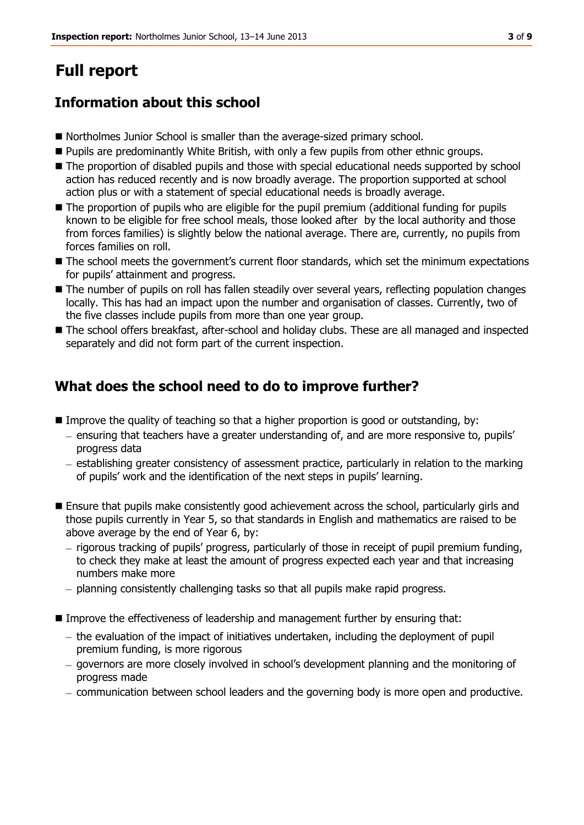# **Full report**

# **Information about this school**

- Northolmes Junior School is smaller than the average-sized primary school.
- **Pupils are predominantly White British, with only a few pupils from other ethnic groups.**
- The proportion of disabled pupils and those with special educational needs supported by school action has reduced recently and is now broadly average. The proportion supported at school action plus or with a statement of special educational needs is broadly average.
- The proportion of pupils who are eligible for the pupil premium (additional funding for pupils known to be eligible for free school meals, those looked after by the local authority and those from forces families) is slightly below the national average. There are, currently, no pupils from forces families on roll.
- The school meets the government's current floor standards, which set the minimum expectations for pupils' attainment and progress.
- The number of pupils on roll has fallen steadily over several years, reflecting population changes locally. This has had an impact upon the number and organisation of classes. Currently, two of the five classes include pupils from more than one year group.
- The school offers breakfast, after-school and holiday clubs. These are all managed and inspected separately and did not form part of the current inspection.

## **What does the school need to do to improve further?**

- **I** Improve the quality of teaching so that a higher proportion is good or outstanding, by:
	- ensuring that teachers have a greater understanding of, and are more responsive to, pupils' progress data
	- establishing greater consistency of assessment practice, particularly in relation to the marking of pupils' work and the identification of the next steps in pupils' learning.
- Ensure that pupils make consistently good achievement across the school, particularly girls and those pupils currently in Year 5, so that standards in English and mathematics are raised to be above average by the end of Year 6, by:
	- rigorous tracking of pupils' progress, particularly of those in receipt of pupil premium funding, to check they make at least the amount of progress expected each year and that increasing numbers make more
	- $-$  planning consistently challenging tasks so that all pupils make rapid progress.
- **Improve the effectiveness of leadership and management further by ensuring that:** 
	- $-$  the evaluation of the impact of initiatives undertaken, including the deployment of pupil premium funding, is more rigorous
	- governors are more closely involved in school's development planning and the monitoring of progress made
	- communication between school leaders and the governing body is more open and productive.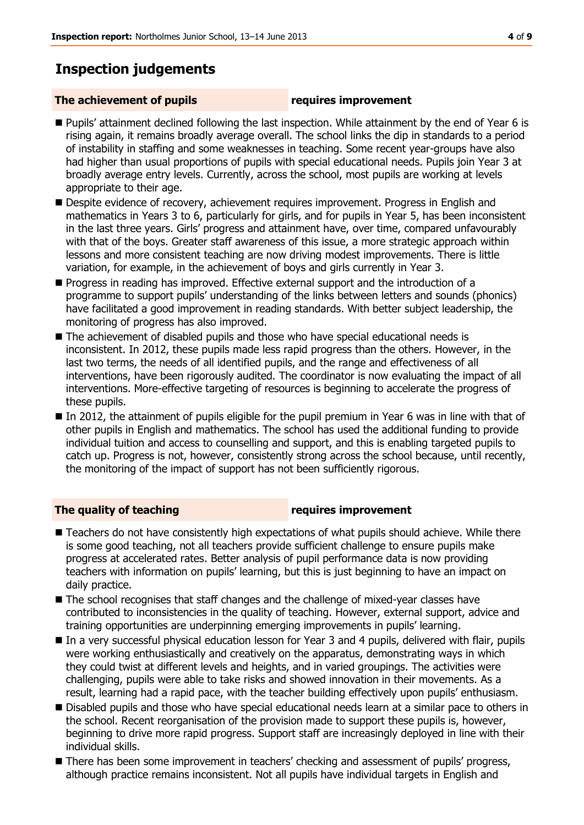# **Inspection judgements**

### **The achievement of pupils requires improvement**

- Pupils' attainment declined following the last inspection. While attainment by the end of Year 6 is rising again, it remains broadly average overall. The school links the dip in standards to a period of instability in staffing and some weaknesses in teaching. Some recent year-groups have also had higher than usual proportions of pupils with special educational needs. Pupils join Year 3 at broadly average entry levels. Currently, across the school, most pupils are working at levels appropriate to their age.
- **Despite evidence of recovery, achievement requires improvement. Progress in English and** mathematics in Years 3 to 6, particularly for girls, and for pupils in Year 5, has been inconsistent in the last three years. Girls' progress and attainment have, over time, compared unfavourably with that of the boys. Greater staff awareness of this issue, a more strategic approach within lessons and more consistent teaching are now driving modest improvements. There is little variation, for example, in the achievement of boys and girls currently in Year 3.
- Progress in reading has improved. Effective external support and the introduction of a programme to support pupils' understanding of the links between letters and sounds (phonics) have facilitated a good improvement in reading standards. With better subject leadership, the monitoring of progress has also improved.
- The achievement of disabled pupils and those who have special educational needs is inconsistent. In 2012, these pupils made less rapid progress than the others. However, in the last two terms, the needs of all identified pupils, and the range and effectiveness of all interventions, have been rigorously audited. The coordinator is now evaluating the impact of all interventions. More-effective targeting of resources is beginning to accelerate the progress of these pupils.
- In 2012, the attainment of pupils eligible for the pupil premium in Year 6 was in line with that of other pupils in English and mathematics. The school has used the additional funding to provide individual tuition and access to counselling and support, and this is enabling targeted pupils to catch up. Progress is not, however, consistently strong across the school because, until recently, the monitoring of the impact of support has not been sufficiently rigorous.

### **The quality of teaching requires improvement**

- Teachers do not have consistently high expectations of what pupils should achieve. While there is some good teaching, not all teachers provide sufficient challenge to ensure pupils make progress at accelerated rates. Better analysis of pupil performance data is now providing teachers with information on pupils' learning, but this is just beginning to have an impact on daily practice.
- The school recognises that staff changes and the challenge of mixed-year classes have contributed to inconsistencies in the quality of teaching. However, external support, advice and training opportunities are underpinning emerging improvements in pupils' learning.
- In a very successful physical education lesson for Year 3 and 4 pupils, delivered with flair, pupils were working enthusiastically and creatively on the apparatus, demonstrating ways in which they could twist at different levels and heights, and in varied groupings. The activities were challenging, pupils were able to take risks and showed innovation in their movements. As a result, learning had a rapid pace, with the teacher building effectively upon pupils' enthusiasm.
- **Disabled pupils and those who have special educational needs learn at a similar pace to others in** the school. Recent reorganisation of the provision made to support these pupils is, however, beginning to drive more rapid progress. Support staff are increasingly deployed in line with their individual skills.
- There has been some improvement in teachers' checking and assessment of pupils' progress, although practice remains inconsistent. Not all pupils have individual targets in English and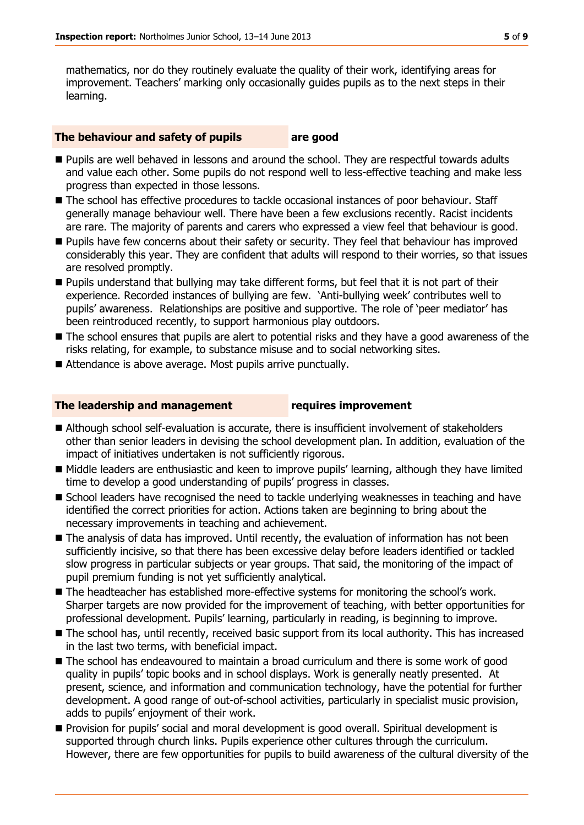mathematics, nor do they routinely evaluate the quality of their work, identifying areas for improvement. Teachers' marking only occasionally guides pupils as to the next steps in their learning.

### **The behaviour and safety of pupils are good**

- **Pupils are well behaved in lessons and around the school. They are respectful towards adults** and value each other. Some pupils do not respond well to less-effective teaching and make less progress than expected in those lessons.
- The school has effective procedures to tackle occasional instances of poor behaviour. Staff generally manage behaviour well. There have been a few exclusions recently. Racist incidents are rare. The majority of parents and carers who expressed a view feel that behaviour is good.
- **Pupils have few concerns about their safety or security. They feel that behaviour has improved** considerably this year. They are confident that adults will respond to their worries, so that issues are resolved promptly.
- Pupils understand that bullying may take different forms, but feel that it is not part of their experience. Recorded instances of bullying are few. 'Anti-bullying week' contributes well to pupils' awareness. Relationships are positive and supportive. The role of 'peer mediator' has been reintroduced recently, to support harmonious play outdoors.
- The school ensures that pupils are alert to potential risks and they have a good awareness of the risks relating, for example, to substance misuse and to social networking sites.
- Attendance is above average. Most pupils arrive punctually.

### **The leadership and management requires improvement**

- Although school self-evaluation is accurate, there is insufficient involvement of stakeholders other than senior leaders in devising the school development plan. In addition, evaluation of the impact of initiatives undertaken is not sufficiently rigorous.
- Middle leaders are enthusiastic and keen to improve pupils' learning, although they have limited time to develop a good understanding of pupils' progress in classes.
- **School leaders have recognised the need to tackle underlying weaknesses in teaching and have** identified the correct priorities for action. Actions taken are beginning to bring about the necessary improvements in teaching and achievement.
- The analysis of data has improved. Until recently, the evaluation of information has not been sufficiently incisive, so that there has been excessive delay before leaders identified or tackled slow progress in particular subjects or year groups. That said, the monitoring of the impact of pupil premium funding is not yet sufficiently analytical.
- The headteacher has established more-effective systems for monitoring the school's work. Sharper targets are now provided for the improvement of teaching, with better opportunities for professional development. Pupils' learning, particularly in reading, is beginning to improve.
- The school has, until recently, received basic support from its local authority. This has increased in the last two terms, with beneficial impact.
- The school has endeavoured to maintain a broad curriculum and there is some work of good quality in pupils' topic books and in school displays. Work is generally neatly presented. At present, science, and information and communication technology, have the potential for further development. A good range of out-of-school activities, particularly in specialist music provision, adds to pupils' enjoyment of their work.
- **Provision for pupils' social and moral development is good overall. Spiritual development is** supported through church links. Pupils experience other cultures through the curriculum. However, there are few opportunities for pupils to build awareness of the cultural diversity of the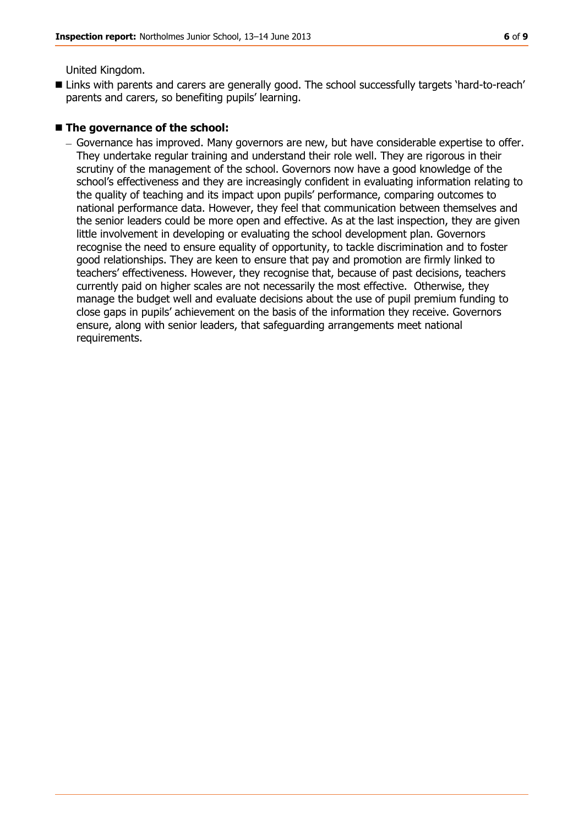United Kingdom.

■ Links with parents and carers are generally good. The school successfully targets 'hard-to-reach' parents and carers, so benefiting pupils' learning.

### ■ The governance of the school:

Governance has improved. Many governors are new, but have considerable expertise to offer. They undertake regular training and understand their role well. They are rigorous in their scrutiny of the management of the school. Governors now have a good knowledge of the school's effectiveness and they are increasingly confident in evaluating information relating to the quality of teaching and its impact upon pupils' performance, comparing outcomes to national performance data. However, they feel that communication between themselves and the senior leaders could be more open and effective. As at the last inspection, they are given little involvement in developing or evaluating the school development plan. Governors recognise the need to ensure equality of opportunity, to tackle discrimination and to foster good relationships. They are keen to ensure that pay and promotion are firmly linked to teachers' effectiveness. However, they recognise that, because of past decisions, teachers currently paid on higher scales are not necessarily the most effective. Otherwise, they manage the budget well and evaluate decisions about the use of pupil premium funding to close gaps in pupils' achievement on the basis of the information they receive. Governors ensure, along with senior leaders, that safeguarding arrangements meet national requirements.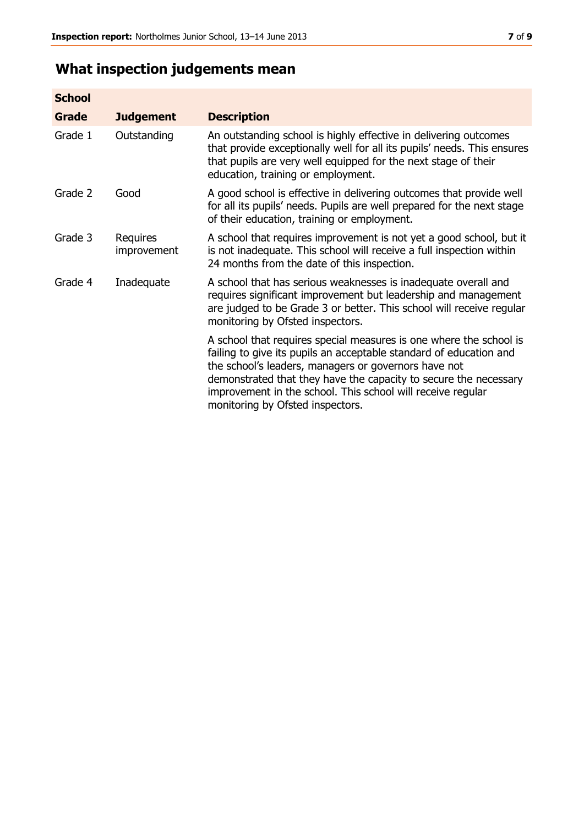# **What inspection judgements mean**

| <b>School</b> |                         |                                                                                                                                                                                                                                                                                                                                                                         |
|---------------|-------------------------|-------------------------------------------------------------------------------------------------------------------------------------------------------------------------------------------------------------------------------------------------------------------------------------------------------------------------------------------------------------------------|
| <b>Grade</b>  | <b>Judgement</b>        | <b>Description</b>                                                                                                                                                                                                                                                                                                                                                      |
| Grade 1       | Outstanding             | An outstanding school is highly effective in delivering outcomes<br>that provide exceptionally well for all its pupils' needs. This ensures<br>that pupils are very well equipped for the next stage of their<br>education, training or employment.                                                                                                                     |
| Grade 2       | Good                    | A good school is effective in delivering outcomes that provide well<br>for all its pupils' needs. Pupils are well prepared for the next stage<br>of their education, training or employment.                                                                                                                                                                            |
| Grade 3       | Requires<br>improvement | A school that requires improvement is not yet a good school, but it<br>is not inadequate. This school will receive a full inspection within<br>24 months from the date of this inspection.                                                                                                                                                                              |
| Grade 4       | Inadequate              | A school that has serious weaknesses is inadequate overall and<br>requires significant improvement but leadership and management<br>are judged to be Grade 3 or better. This school will receive regular<br>monitoring by Ofsted inspectors.                                                                                                                            |
|               |                         | A school that requires special measures is one where the school is<br>failing to give its pupils an acceptable standard of education and<br>the school's leaders, managers or governors have not<br>demonstrated that they have the capacity to secure the necessary<br>improvement in the school. This school will receive regular<br>monitoring by Ofsted inspectors. |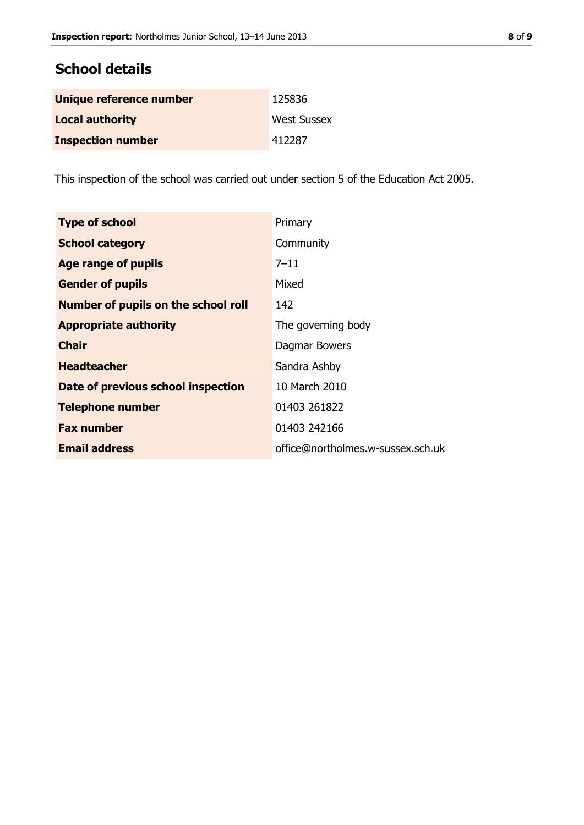### **School details**

| Unique reference number  | 125836             |
|--------------------------|--------------------|
| <b>Local authority</b>   | <b>West Sussex</b> |
| <b>Inspection number</b> | 412287             |

This inspection of the school was carried out under section 5 of the Education Act 2005.

| <b>Type of school</b>                      | Primary                           |
|--------------------------------------------|-----------------------------------|
| <b>School category</b>                     | Community                         |
| Age range of pupils                        | $7 - 11$                          |
| <b>Gender of pupils</b>                    | Mixed                             |
| <b>Number of pupils on the school roll</b> | 142                               |
| <b>Appropriate authority</b>               | The governing body                |
| <b>Chair</b>                               | Dagmar Bowers                     |
| <b>Headteacher</b>                         | Sandra Ashby                      |
| Date of previous school inspection         | 10 March 2010                     |
| <b>Telephone number</b>                    | 01403 261822                      |
| <b>Fax number</b>                          | 01403 242166                      |
| <b>Email address</b>                       | office@northolmes.w-sussex.sch.uk |